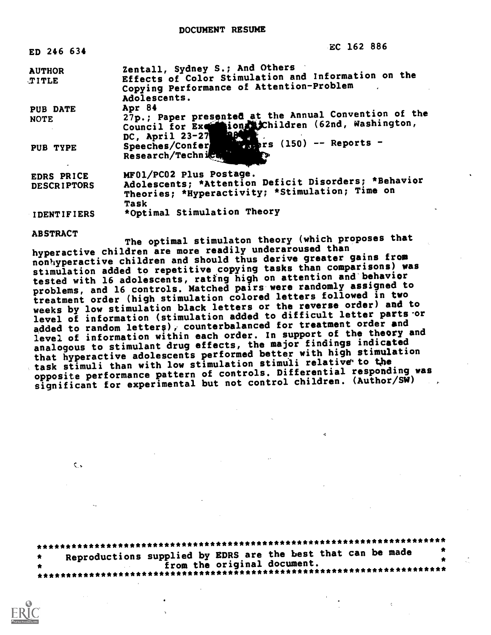$5.5006$ 

| ED 246 634                                 | .EL 106 000                                                                                                                                                                                                       |  |  |  |  |  |
|--------------------------------------------|-------------------------------------------------------------------------------------------------------------------------------------------------------------------------------------------------------------------|--|--|--|--|--|
| <b>AUTHOR</b><br>TITLE                     | Zentall, Sydney S.; And Others<br>Effects of Color Stimulation and Information on the<br>Copying Performance of Attention-Problem<br>Adolescents.                                                                 |  |  |  |  |  |
| <b>PUB DATE</b><br><b>NOTE</b><br>PUB TYPE | Apr 84<br>27p.; Paper presented at the Annual Convention of the<br>Council for Excession Children (62nd, Washington,<br><b>Angr</b><br>DC, April 23-27<br>$\sum_{i=1}^n$ rs (150) -- Reports -<br>Speeches/Confer |  |  |  |  |  |
|                                            | Research/Technical                                                                                                                                                                                                |  |  |  |  |  |
| EDRS PRICE<br><b>DESCRIPTORS</b>           | MF01/PC02 Plus Postage.<br>Adolescents; *Attention Deficit Disorders; *Behavior<br>Theories; *Hyperactivity; *Stimulation; Time on<br>Task                                                                        |  |  |  |  |  |
| IDENTIFIERS                                | *Optimal Stimulation Theory                                                                                                                                                                                       |  |  |  |  |  |

### **ABSTRACT**

 $\mathsf{C}$ 

The optimal stimulaton theory (which proposes that hyperactive children are more readily underaroused than nonhyperactive children and should thus derive greater gains from stimulation added to repetitive copying tasks than comparisons) was tested with 16 adolescents, rating high on attention and behavior problems, and 16 controls. Matched pairs were randomly assigned to treatment order (high stimulation colored letters followed in two weeks by low stimulation black letters or the reverse order) and to level of information (stimulation added to difficult letter parts or added to random letters), counterbalanced for treatment order and level of information within each order. In support of the theory and analogous to stimulant drug effects, the major findings indicated that hyperactive adolescents performed better with high stimulation task stimuli than with low stimulation stimuli relative to the opposite performance pattern of controls. Differential responding was significant for experimental but not control children. (Author/SW)

|                                                              |                             |  |  | $\bullet$ |
|--------------------------------------------------------------|-----------------------------|--|--|-----------|
| Reproductions supplied by EDRS are the best that can be made |                             |  |  |           |
|                                                              | from the original document. |  |  |           |
|                                                              |                             |  |  |           |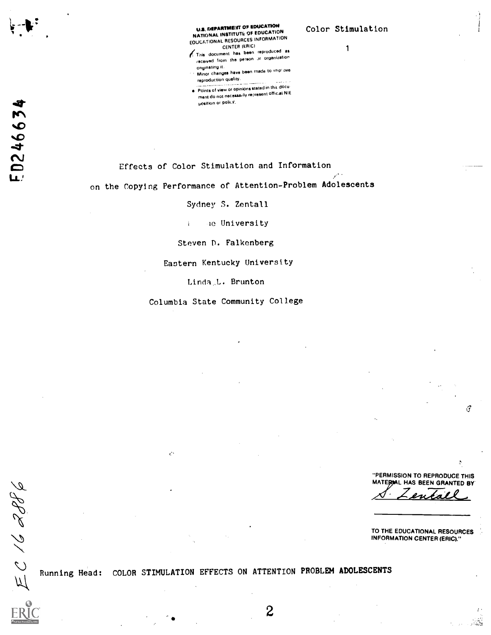U.S. DEPARTMENT OF EDUCATION Color Stimulation NATIONAL INSTITUTE OF EDUCATION EOUCATIONAL RESOURCES INFORMATION

- CENTER (ERIC)<br>
This document has been reproduced as 1 received from the person ar organization
- originating it.<br>Minor changes have b<del>ee</del>n made to imp' ove reproduction quality.
- **Points of view or opinions stated in this docu**ment do not necessarily represent offic.al NIE<br>position or policy,

 $EC/62866$ 

Effects of Color Stimulation and Information

on the Copying Performance of Attention-Problem Adolescents

Sydney S. Zentall

le University

Steven D. Falkenberg

j.

é.

Eastern Kentucky University

Linda,L. Brunton

Columbia State Community College

"PERMISSION TO REPRODUCE THIS MATERIAL HAS BEEN GRANTED BY

G

TO THE EDUCATIONAL RESOURCES INFORMATION CENTER (ERIC)."

Running Head: COLOR STIMULATION EFFECTS ON ATTENTION PROBLEM ADOLESCENTS

 $\boldsymbol{2}$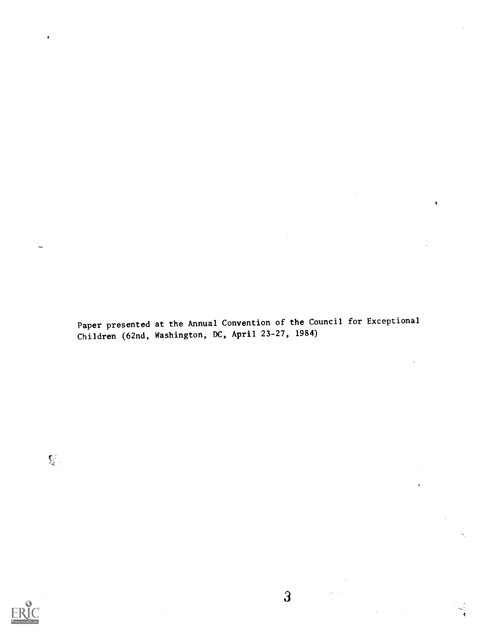Paper presented at the Annual Convention of the Council for Exceptional Children (62nd, Washington, DC, April 23-27, 1984)

 $3<sup>1</sup>$ 

 $\ddot{\phantom{0}}$ 



 $\sum_{\substack{ \alpha_1,\ldots,\alpha_k \in \mathbb{N} \\ \alpha_1,\ldots,\alpha_k \in \mathbb{N} }}$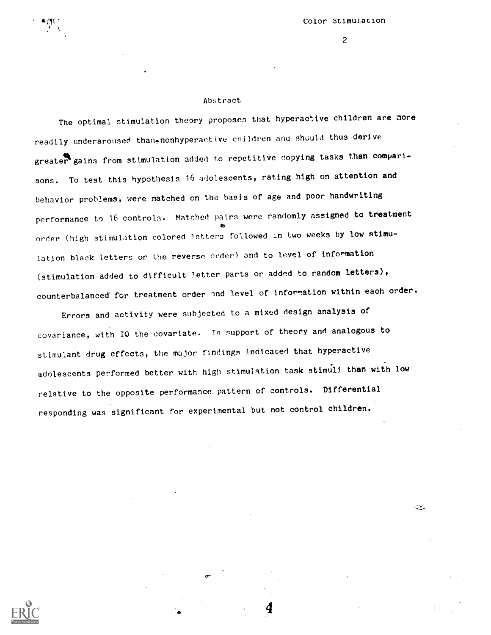ベエ

### Abstract

The optimal stimulation theory proposes that hyperactive children are more readily underaroused than, nonhyperactive children and should thus derive greater gains from stimulation added to repetitive copying tasks than comparisons. To test this hypothesis 16 adolescents, rating high on attention and behavior problems, were matched on the basis of age and poor handwriting performance to 16 controls. Matched pairs were randomly assigned to treatment order (high stimulation colored letters followed in two weeks by low stimulation black letters or the reverse order) and to level of information (stimulation added to difficult letter parts or added to random letters), counterbalanced' for treatment order and level of information within each order.

Errors and activity were subjected to a mixed design analysis of covariance, with IQ the covariate. Tn support of theory and analogous to stimulant drug effects, the major findings indicated that hyperactive adolescents performed better with high stimulation task stimuli than with low relative to the opposite performance pattern of controls. Differential responding was significant for experimental but not control children.

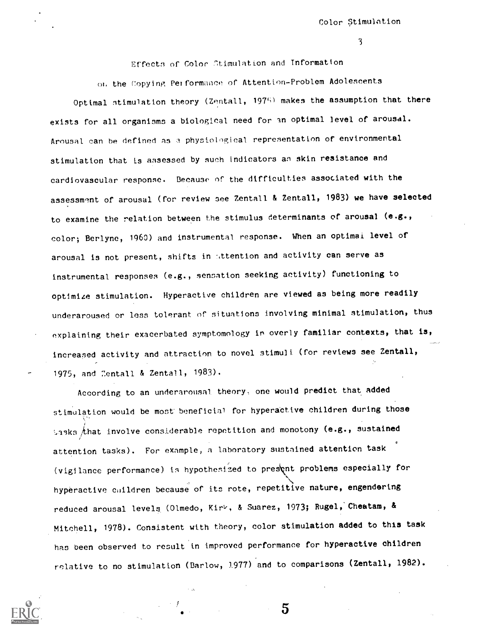Effects of Color Stimulation and Information

oh the copying Performance of Attention-Problem Adolescents Optimal stimulation theory (Zentall,  $197<sup>2</sup>$ ) makes the assumption that there exists for all organisms a biological need for an optimal level of arousal. Arousal can be defined as a physiological representation of environmental stimulation that is assessed by such indicators an skin resistance and cardiovascular response. Because or the difficulties associated with the assessment of arousal (for review see Zentall & Zentall, 1983) we have selected to examine the relation between the stimulus determinants of arousal (e.g., color; Berlyne, 1960) and instrumental response. When an optimal level of arousal is not present, shifts in attention and activity can serve as instrumental responses (e.g., sensation seeking activity) functioning to optimize stimulation. Hyperactive children are viewed as being more readily underaroused or less tolerant of situations involving minimal stimulation, thus explaining their exacerbated symptomology in overly familiar contexts, that is, increased activity and attraction to novel stimuli (for reviews see Zentall, 1975, and Zentall & Zentall, 1983).

According to an underarousal theory, one would predict that added stimulation would be most beneficial for hyperactive children during those  $t$ asks  $\triangle$ hat involve considerable repetition and monotony (e.g., sustained attention tasks). For example, a laboratory sustained attention task (vigilance performance) is hypothesized to present problems especially for hyperactive cuildren because of its rote, repetitive nature, engendering reduced arousal levels (Olmedo, Kirk, & Suarez, 1973; Rugel, Cheatam, & Mitchell, 1978). Consistent with theory, color stimulation added to this task has been observed to result in improved performance for hyperactive children relative to no stimulation (Barlow, 1977) and to comparisons (Zentall, 1982).

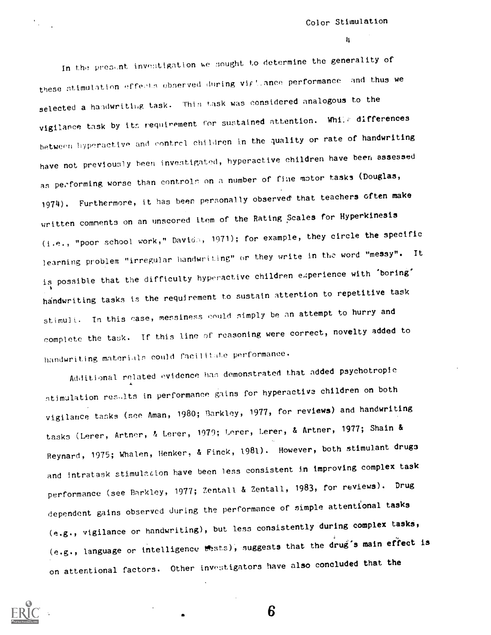$\mathbf{u}$ 

In the present investigation we sought to determine the generality of these stimulation effects observed during vif! ance performance and thus we selected a handwriting task. This task was considered analogous to the vigilance task by its requirement for sustained attention. While differences between hyperactive and contrcl children in the quality or rate of handwriting have not previously been investigated, hyperactive children have been assessed as performing worse than controls on a number of fine motor tasks (Douglas, 1974). Furthermore, it has been personally observed that teachers often make written comments on an unscored item of the Rating Scales for Hyperkinesis  $(i.e.,$  "poor school work," Davide, 1971); for example, they circle the specific learning problem "irregular handwriting" or they write in the word "messy". It is possible that the difficulty hyperactive children experience with 'boring' handwriting tasks is the requirement to sustain attention to repetitive task stimuli. In this case, messiness could simply be an attempt to hurry and complete the task. If this line of reasoning were correct, novelty added to handwriting materials could facilitate performance.

Additional related evidence has demonstrated that added psychotropic stimulation results in performance gains for hyperactive children on both vigilance tasks (see Aman, 1980; Barkley, 1977, for reviews) and handwriting tasks (Lerer, Artner, & Lerer, 1979; Lerer, Lerer, & Artner, 1977; Shain & Reynard, 1975; Whalen, Henker, & Finck, 1981). However, both stimulant drugs and intratask stimulacion have been less consistent in improving complex task performance (see Barkley, 1977; Zentall & Zentall, 1983, for reviews). Drug dependent gains observed during the performance of simple attentional tasks (e.g., vigilance or handwriting), but less consistently during complex tasks, (e.g., language or intelligence  $\forall$ sts), suggests that the drug's main effect is on attentional factors. Other investigators have also concluded that the



 $\frac{1}{2} \frac{1}{2}$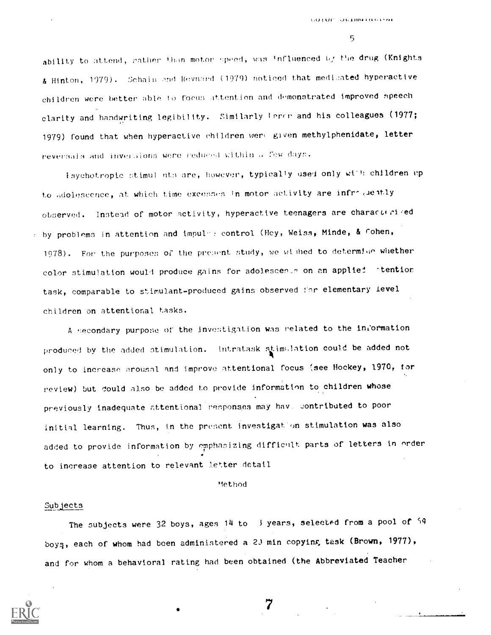$5<sup>5</sup>$ 

ability to attend, rather than motor speed, was Influenced by the drug (Knights & Hinton, 1979). Schain and Revnard (1979) noticed that medicated hyperactive children were better able to focus attention and demonstrated improved speech clarity and handwriting legibility. Similarly inrcr and his colleagues (1977; 1979) found that when hyperactive children were given methylphenidate, letter reversals and inversions were reduced within a few days.

isychotropic stimul nts are, however, typically used only with children up to adolescence, at which time excesses in motor activity are infrequently observed. Instead of motor activity, hyperactive teenagers are characteried c by problems in attention and impulse control (Hey, Weiss, Minde, & Cohen, 1978). For the purposes of the present study, we wilhed to determine whether color stimulation would produce gains for adolescen,2 on an applied -tention task, comparable to stimulant-produced gains observed for elementary level children on attentional tasks.

A secondary purpose of the investigation was related to the information produced by the added stimulation. Intratask stimilation could be added not only to increase arousal and improve attentional focus (see Hockey, 1970, for review) but could also be added to provide information to children whose previously inadequate attentional responses may have contributed to poor initial learning. Thus, in the present investigation stimulation was also added to provide information by emphasizing difficult parts of letters in order to increase attention to relevant letter detail

#### Method

## Subjects

The subjects were  $32$  boys, ages  $14$  to 3 years, selected from a pool of  $59$ boys, each of whom had been administered a 2J min copying task (Brown, 1977), and for whom a behavioral rating had been obtained (the Abbreviated Teacher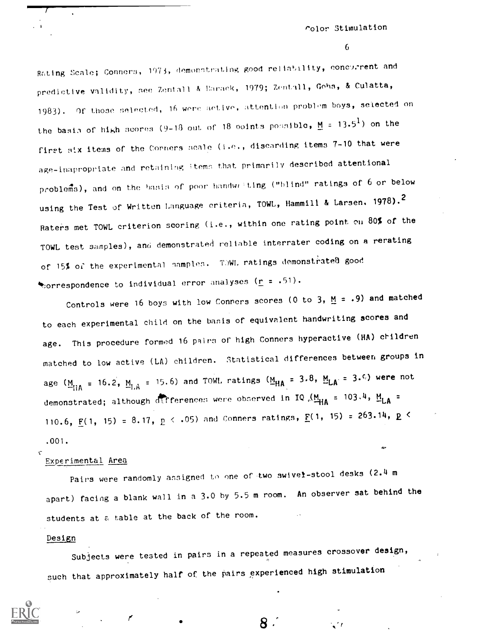$\mathbf{0}$ 

Rating Scale; Conners, 1973, demonstrating good reliatility, concurrent and predictive validity, see Zentall & Barack, 1979; Zentall, Gohs, & Culatta, 1983). Of those selected, 16 were active, attention problem boys, selected on the basis of high scores (9-13 out of 18 ooints possible,  $M = 13.5<sup>1</sup>$ ) on the first six items of the Corners scale (i.e., discarding items 7-10 that were age-inapropriate and retaining items that, primarily described attentional problems), and on the basis of poor handwriting ("blind" ratings of 6 or below using the Test of Written Language criteria, TOWL, Hammill & Larsen. 1978).<sup>2</sup> Raters met TOWL criterion scoring (i.e., within one rating point on 80% of the TOWL test samples), and demonstrated reliable interrater coding on a rerating of 15% of the experimental samples. TOWL ratings demonstrated good  $\blacklozenge$ ,0rrespondence to individual error analyses ( $r = .51$ ).

Controls were 16 boys with low Conners scores (0 to 3,  $M = .9$ ) and matched to each experimental child on the basis of equivalent handwriting scores and age. This procedure formed 16 pairs of high Conners hyperactive (HA) children matched to low active (LA) children. Statistical differences between groups in age ( $M_{\text{HA}}$  = 16.2,  $M_{\text{LA}}$  = 15.6) and TOWL ratings ( $M_{\text{HA}}$  = 3.8,  $M_{\text{LA}}$  = 3.4) were not demonstrated; although differences were observed in IQ  $(M_{\text{HA}} = 103.4, M_{\text{LA}} =$ 110.6,  $F(1, 15) = 8.17$ ,  $p \le .05$ ) and Conners ratings,  $F(1, 15) = 263.14$ ,  $p \le$ .001. ar

# Experimental Area

Pairs were randomly assigned to one of two swivel-stool desks (2.4 m apart) facing a blank wall in a 3.0 by 5.5 m room. An observer sat behind the students at a table at the back of the room.

## Design

Subjects were tested in pairs in a repeated measures crossover design, such that approximately half of the pairs experienced high stimulation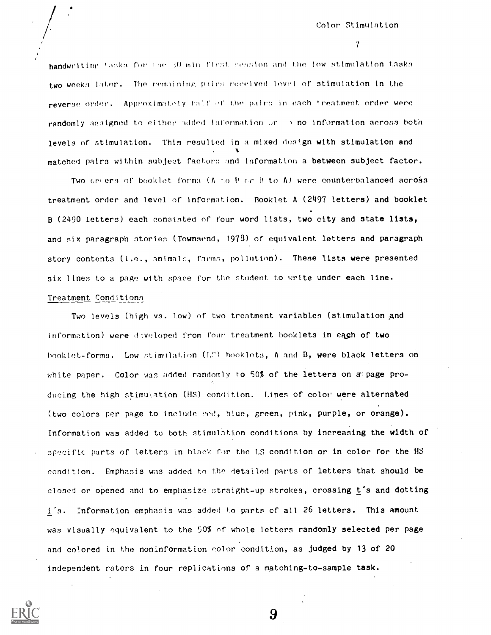### Color Stimulation

 $\overline{\mathcal{L}}$ 

handwriting fasks for the 30 min first session and the low stimulation tasks two weeks later. The remaining piles received level of stimulation in the reverse order. Approximately half of the pairs in each treatment order were randomly ansigned to either added Information  $\sigma$  no information aerons both levels of stimulation. This resulted in a mixed design with stimulation and matched pairs within subject factors and information a between subject factor.

Two  $Gr$  ers of booklet forms (A to B  $cr$  B to A) were counterbalanced across treatment order and level of information. Booklet A (2497 letters) and booklet B (2490 letters) each consisted of four word lists, two city and state lists, and nix paragraph stories (Townsend, 1978) of equivalent letters and paragraph story contents (i.e., animals, farms, pollution). These lists were presented six lines to a page with space for the student to write under each line. Treatment Conditions

Two levels (high vs. low) of two treatment variables (stimulation and information) were diveloped from four treatment booklets in each of two booklet-forms. Low stimulation (LC) booklets, A and B, were black letters on white paper. Color was added randomly to 50% of the letters on appage producing the high stimulation (HS) condition. Lines of color were alternated (two colors per page to include red, blue, green, pink, purple, or orange). Information was added to both stimulation conditions by increasing the width of specific parts of letters in black for the LS condition or in color for the HS condition. Emphasis was added to the detailed parts of letters that should be closed or opened and to emphasize straight-up strokes, crossing t's and dotting i's. Information emphasis was added to parts of all 26 letters. This amount was visually equivalent to the 50% of whole letters randomly selected per page and colored in the noninformation color condition, as judged by 13 of 20 independent raters in four replications of a matching-to-sample task.

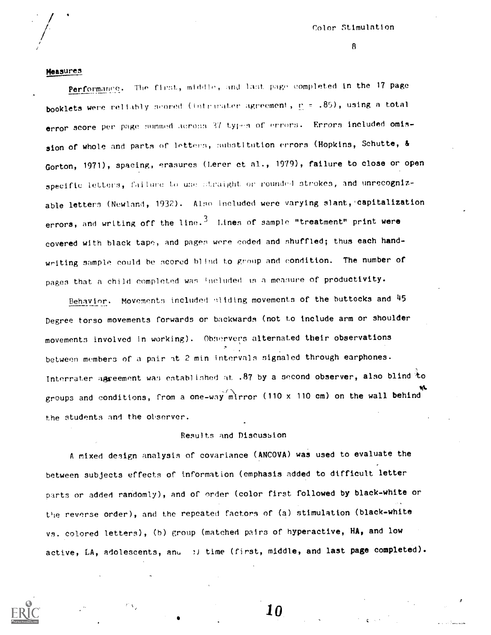### Measures

Performance. The first, middle, and last page completed in the 17 page booklets were reliably scored (intrinater agreement,  $r = .85$ ), using a total error score per page summed acrons 37 types of errors. Errors included omission of whole and parts of letters, substitution errors (Hopkins, Schutte, & Gorton, 1971), spacing, erasures (Lerer et al., 1979), failure to close or open specific letters, failure to use straight or rounded strokes, and unrecognizable letters (Newland, 1932). Also included were varying slant, capitalization errors, and writing off the line.<sup>3</sup> Lines of sample "treatment" print were covered with black tape, and pages were coded and shuffled; thus each handwriting sample could be scored blind to group and condition. The number of pages that a child completed was included is a measure of productivity.

Behavior. Movements included aliding movements of the buttocks and 45 Degree torso movements forwards or backwards (not to include arm or shoulder movements involved in working). Observers alternated their observations between members of a pair at 2 min intervals signaled through earphones. Interrater agreement was established at .87 by a second observer, also blind to groups and conditions, from a one-way mirror (110 x 110 cm) on the wall behind the students and the observer.

## Results and Discussion

A mixed design analysis of covariance (ANCOVA) was used to evaluate the between subjects effects of information (emphasis added to difficult letter parts or added randomly), and of order (color first followed by black-white or the reverse order), and the repeated factors of (a) stimulation (black-white vs. colored letters), (b) group (matched pairs of hyperactive, HA, and low active, LA, adolescents, and : ) time (first, middle, and last page completed).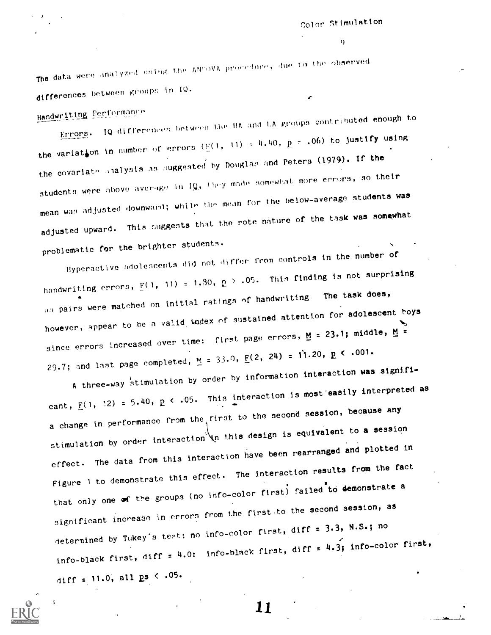$\Omega$ 

The data were analyzed uning the ANCOVA procedure, due to the observed differences between groups in IQ.

# Handwriting Performance

Errors. IQ differences between the HA and LA groups contributed enough to the variation in number of errors  $(\underline{F}(1, 11) = 4.40, p = .06)$  to justify using the covariate analysis as suggested by Douglas and Peters (1979). If the students were above average in IQ, they made somewhat more errors, so their mean was adjusted downward; while the mean for the below-average students was adjusted upward. This suggests that the rote nature of the task was somewhat problematic for the brighter students.

Hyperactive adolescents did not differ from controls in the number of handwriting errors,  $\underline{F}(1, 11) = 1.30$ ,  $\underline{p} > .05$ . This finding is not surprising as pairs were matched on initial ratings of handwriting. The task does, however, appear to be a valid todex of sustained attention for adolescent hoys since errors increased over time: first page errors, M = 23.1; middle, M = 29.7; and last page completed,  $M = 33.0$ ,  $E(2, 24) = 11.20$ ,  $E(2, 001$ .

A three-way stimulation by order by information interaction was significant,  $\underline{F}(1, 12) = 5.40$ ,  $\underline{p} < .05$ . This interaction is most easily interpreted as a change in performance from the first to the second session, because any stimulation by order interaction in this design is equivalent to a session effect. The data from this interaction have been rearranged and plotted in Figure 1 to demonstrate this effect. The interaction results from the fact that only one of the groups (no info-color first) failed to demonstrate a significant increase in errors from the first to the second session, as determined by Tukey's test: no info-color first, diff = 3.3, N.S.; no info-black first, diff = 4.0: info-black first, diff = 4.3; info-color first, diff = 11.0, all  $ps < .05$ .

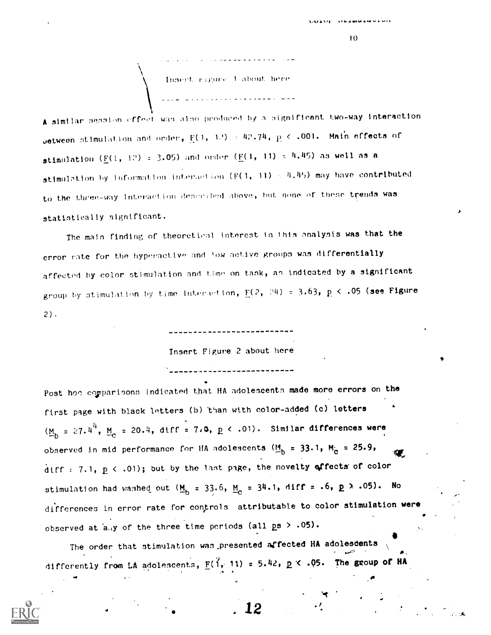Insert rigure 1 about here alum silicilise relevantumen met  $10$ 

A similar session effect was also produced by a significant two-way interaction between stimulation and order,  $E(1, 1.2) = 42.74$ ,  $P_1 \le .001$ . Main effects of stimulation ( $\underline{F}(1, 12) = 3.05$ ) and order ( $\underline{F}(1, 11) = h.45$ ) as well as a stimulation by information interaction (F(1, 11) < 4.45) may have contributed to the three-way interaction described above, but none of these trends was statistically significant.

The main finding of theoretical interest in this analysis was that the error rate for the hyperactive and low active groups was differentially affected by color stimulation and time on task, as indicated by a significant group by stimulation by time interaction,  $E(2, 24) = 3.63$ ,  $p < .05$  (see Figure  $2)$ .

Insert Figure 2 about here

Post hoc comparisons indicated that HA adolescents made more errors on the first page with black letters (b) than with color-added (c) letters  $(\underline{M}_{\text{b}} = 27.4^{\text{h}})$ ,  $\underline{M}_{\text{c}} = 20.4$ , diff = 7.0,  $\underline{p} < .01$ ). Similar differences were observed in mid performance for HA adolescents  $(M_b = 33.1, M_c = 25.9,$ diff : 7.1,  $p \le .01$ ; but by the last page, the novelty effects of color stimulation had washed out  $(M_b = 33.6, M_c = 34.1, diff = .6, p > .05)$ . No differences in error rate for controls attributable to color stimulation were observed at any of the three time periods (all ps > .05).

The order that stimulation was presented affected HA adolescents differently from LA adolescents,  $E(\vec{1}, 11) = 5.42$ ,  $E \le .05$ . The group of HA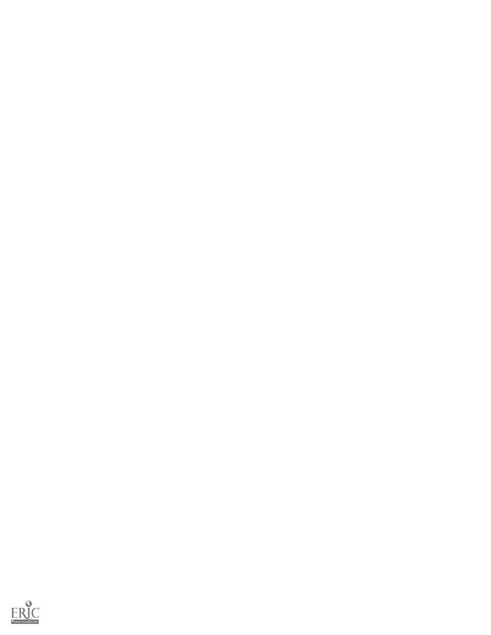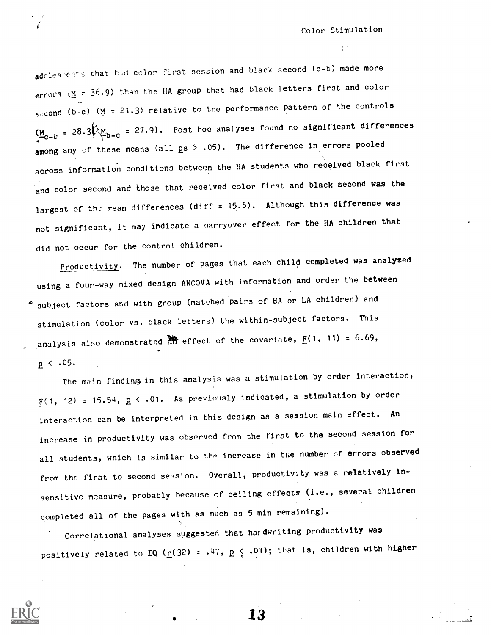adoles:ents that hid color first session and black second (c-b) made more errors  $(M - 36.9)$  than the HA group that had black letters first and color  $s$  cond (b-c) ( $M = 21.3$ ) relative to the performance pattern of the controls  $(\underline{M}_{c-b} = 28.3)$   $M_{b-c} = 27.9$ ). Post hoc analyses found no significant differences among any of these means (all  $ps > .05$ ). The difference in errors pooled across information conditions between the HA students who received black first and color second and those that received color first and black second was the largest of the mean differences (diff = 15.6). Although this difference was not significant, it may indicate a carryover effect for the HA Children that did not occur for the control children.

Productivity. The number of pages that each child completed was analyzed using a four-way mixed design ANCOVA with information and order the between <sup>4</sup> subject factors and with group (matched pairs of HA or LA children) and stimulation (color vs. black letters) the within-subject factors. This analysis also demonstrated  $\overline{dR}$  effect of the covariate,  $\underline{F}(1, 11) = 6.69$ ,  $p \le .05$ .

The main finding in this analysis was a stimulation by order interaction,  $F(1, 12) = 15.54$ ,  $P < .01$ . As previously indicated, a stimulation by order interaction can be interpreted in this design as a session main effect. An increase in productivity was observed from the first to the second session for all students, which is similar to the increase in the number of errors observed from the first to second session. Overall, productivity was a relatively insensitive measure, probably because of ceiling effects (i.e., several children completed all of the pages with as much as 5 min remaining).

Correlational analyses suggested that handwriting productivity was positively related to IQ ( $r(32) = .47$ ,  $p \le .01$ ); that is, children with higher

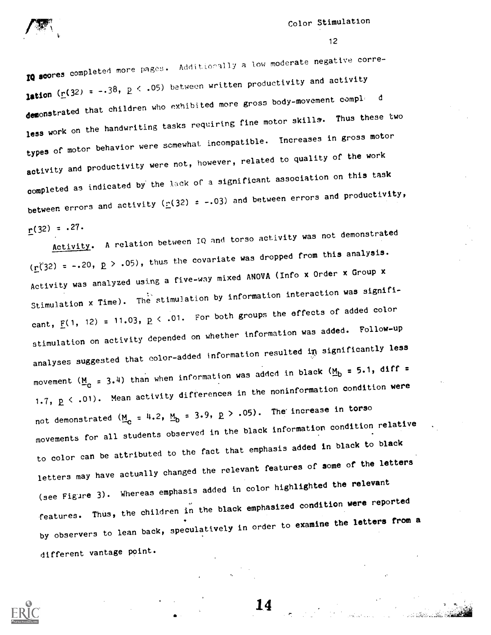

IQ scores completed more pages. Additionally a low moderate negative corre-<br>Nuclisity and activity **lation**  $(r(32) = -.38, p \le .05)$  between written productivity and activity  $\frac{1}{2}$ **lation** (r(32)  $-$  -  $\frac{1}{2}$   $\frac{1}{2}$ <br>**dependent complished** that children who exhibited more gross body-movement complished demonstrated the handwriting tasks requiring fine motor skills. Thus these two<br>less work on the handwriting tasks requiring fine motor and around motor types of motor behavior were somewhat incompatible. Increases in gross motor activity and productivity were not, however, related to quality of the work completed as indicated by the lack of a significant association on this task between errors and activity ( $r(32)$  = -.03) and between errors and productivity,

 $r(32) = 127$ .<br>Activity. A relation between IQ and torso activity was not demonstrated  $(r^{2})$  = -.20,  $p > .05$ , thus the covariate was dropped from this analysis. Activity was analyzed using a five-way mixed ANOVA (Info x Order x Group x Stimulation x Time). The stimulation by information interaction was significant,  $E(1, 12) = 11.03$ ,  $E \leftarrow 01$ . For both groups the effects of added color stimulation on activity depended on whether information was added. Follow-up analyses suggested that color-added information resulted in significantly less movement ( $M_c$  = 3.4) than when information was added in black ( $M_b$  = 5.1, diff = 1.7,  $p \le .01$ ). Mean activity differences in the noninformation condition were not demonstrated  $(M_c = 4.2, M_b = 3.9, p > .05)$ . The increase in torso movements for all students observed in the black information condition relative to color can be attributed to the fact that emphasis added in black to black letters may have actually changed the relevant features of some of the letters (see Figure 3). Whereas emphasis added in color highlighted the relevant features. Thus, the children in the black emphasized condition were reported by observers to lean back, speculatively in order to examine the letters from a different vantage point.

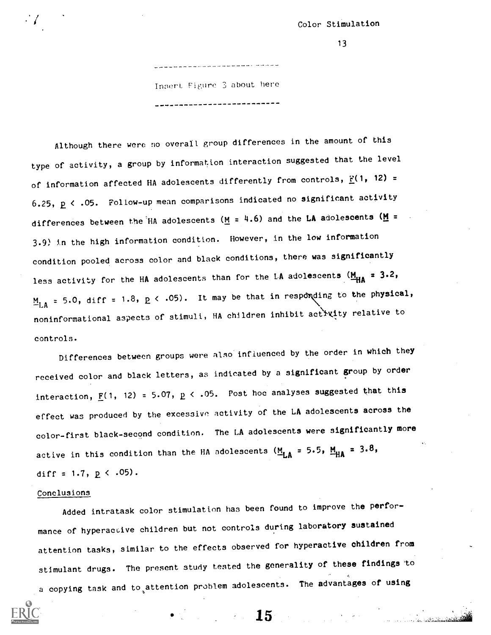Insert. Figure 3 about here ----------------

Although there were no overall group differences in the amount of this type of activity, a group by information interaction suggested that the level of information affected HA adolescents differently from controls,  $\mathbb{F}(1, 12)$  = 6.25, p < .05. Follow-up mean comparisons indicated no significant activity differences between the HA adolescents ( $M = 4.6$ ) and the LA adolescents ( $M =$ 3.9) in the high information condition. However, in the low information condition pooled across color and black conditions, there was significantly less activity for the HA adolescents than for the LA adolescents ( $M_{HA}$  = 3.2,  $M_{LA}$  = 5.0, diff = 1.8,  $p \le .05$ ). It may be that in responding to the physical, noninformational aspects of stimuli, HA children inhibit actruity relative to controls.

Differences between groups were also influenced by the order in which they received color and black letters, as indicated by a significant group by order interaction,  $F(1, 12) = 5.07$ ,  $p \lt .05$ . Post hoc analyses suggested that this effect was produced by the excessive activity of the LA adolescents across the color-first black-second condition. The LA adolescents were significantly more active in this condition than the HA adolescents ( $M_{LA}$  = 5.5,  $M_{HA}$  = 3.8, diff = 1.7,  $p \lt .05$ ).

### Conclusions

 $\mathbf{1}$ 

Added intratask color stimulation has been found to improve the performance of hyperactive children but not controls during laboratory sustained attention tasks, similar to the effects observed for hyperactive children from stimulant drugs. The present study tested the generality of these findings to a copying task and to<sub>s</sub>attention problem adolescents. The advantages of using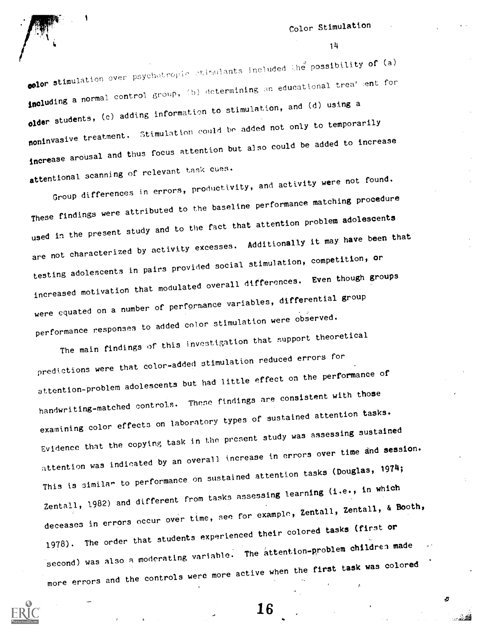oolor stimulation over psychotropic some  $H_{\text{full}}$ ants included the possibility of (a) including a normal control group, (b) determining an educational trea' :ent for older students, (c) adding information to stimulation, and (d) using a noninvasive of the model of thus focus attention but also could be added to increase increase noninvasive treatment. Stimulation could be added not only to temporarily attentional scanning of relevant task cues.

Group differences in errors, productivity, and activity were not found. These findings were attributed to the baseline performance matching procedure used in the present study and to the fact that attention problem adolescents are not characterized by activity excesses. Additional Additionally it may have been that testing adolescents in pairs provided social stimulation, competition, or increased motivation that modulated overall differences. Even though groups were equated on a number of performance variables, differential group performance responses to added color stimulation were observed.

The main findings of this investigation that support theoretical predictions were that color-added stimulation reduced errors for gredission.<br>attention-problem adolescents but had little effect on the performance of handwriting-matched controls. These findings are consistent with those examining color effects on laboratory types of sustained attention tasks. Evidence that the copying task in the present study was assessing sustained attention was indicated by an overall increase in errors over time and session. This is similar to performance on sustained attention tasks (Douglas, 1974; Zentall, 1982) and different from tasks assessing learning (i.e., in which deceases in errors occur over time, see for example, Zentall, Zentall, & Booth, 1978). The order that students experienced their colored tasks (first or second) was also a moderating variable. The attention-problem children made more errors and the controls were more active when the first task was colored

16

Ò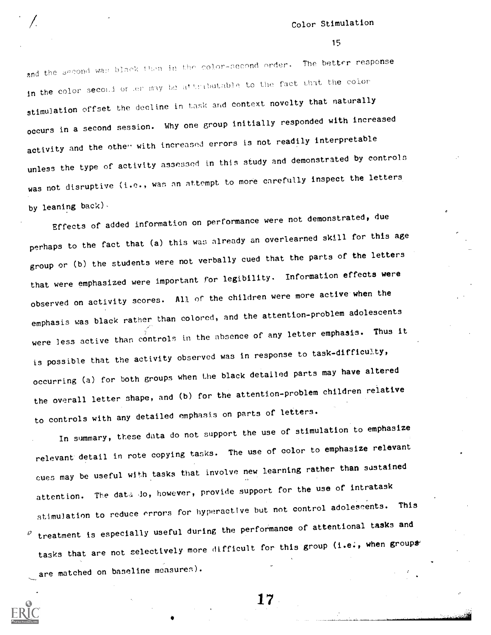# Color Stimulation

15

and the second war o in the color-second order. The better respo**nse** in the color secold or ler may be attributable to the fact that the color stimulation offset the decline in task and context novelty that naturally occurs in a second session. Why one group initially responded with increased activity and the other with increased errors is not readily interpretable unless the type of activity assessed in this study and demonstrated by controls was not disruptive (i.e., was an attempt to more carefully inspect the letters by leaning back).

Effects of added information on performance were not demonstrated, due perhaps to the fact that (a) this was already an overlearned skill for this age group or (b) the students were not verbally cued that the parts of the letters that were emphasized were important for legibility. Information effects were observed on activity scores. All of the children were more active when the emphasis was black rather than colored, and the attention-problem adolescents were less active than controls in the absence of any letter emphasis. Thus it is possible that the activity observed was in response to task-difficulty, occurring (a) for both groups when the black detailed parts may have altered the overall letter shape, and (b) for the attention-problem children relative to controls with any detailed emphasis on parts of letters.

In summary, these data do not support the use of stimulation to emphasize relevant detail in rote copying tasks. The use of color to emphasize relevant cues may be useful with tasks that involve new learning rather than sustained attention. The dation, however, provide support for the use of intratask<br>control adelescents. This stimulation to reduce errors for hyperactive but not control adolescents. treatment is especially useful during the performance of attentional tasks and tasks that are not selectively more difficult for this group (i.e., when groups are matched on baseline measures).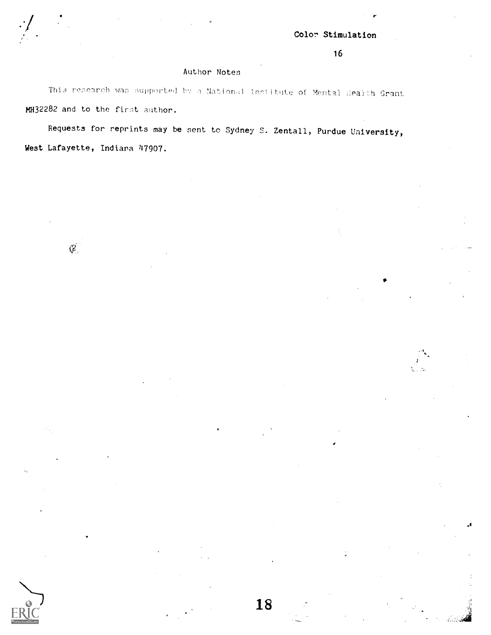## Color Stimulation

16

 $\mathcal{L} = \mathcal{L}$ 

## Author Notes

This research was supported by a National Institute of Mental Health Grant MH32282 and to the first author.

Requests for reprints may be sent to Sydney S. Zentall, Purdue University, West Lafayette, Indiana 47907.



 $Q^{\prime}$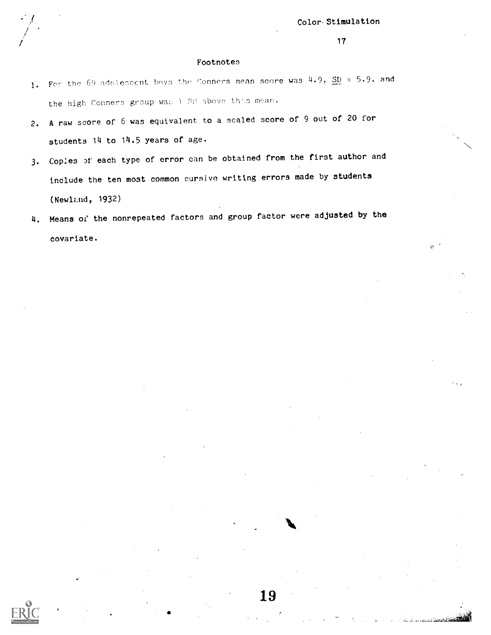Color-Stimulation

## Footnotes

- 1. For the 69 adolescent boys the Conners mean score was  $4.9$ ,  $SD = 5.9$ , and the high Conners group was 1 Sp above this mean.
- 2. A raw score of 6 was equivalent to a scaled score of 9 out of 20 for students 14 to 14.5 years of age.
- 3. Copies 3f each type of error can be obtained from the first author and include the ten most common cursive writing errors made by students (Newland, 1932)
- 4. Means of the nonrepeated factors and group factor were adjusted by the covariate.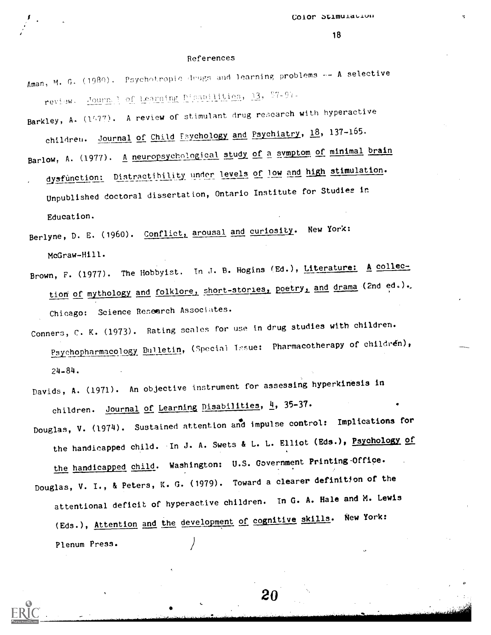### References

 $\mathbf{I}$ 

Aman, M. G.  $(1980)$ . Psychotropic drugs and learning problems  $-$  A selective review. Journ. 1 of Learning Pisabilities, 13, 27-97.

Barkley, A. (1677). A review of stimulant drug research with hyperactive

children. Journal of Child Esychology and Psychiatry, 18, 137-165. Barlow, A. (1977). A neuropsychological study of a symptom of minimal brain

dysfunction: Distractibility under levels of low and high stimulation. Unpublished doctoral dissertation, Ontario Institute for Studies in Education.

Berlyne, D. E. (1960). Conflict, arousal and curiosity. New York: McGraw-Hill.

Brown, F. (1977). The Hobbyist. In J. B. Hogins (Ed.), Literature: A collection of mythology and folklore, short-stories, poetry, and drama (2nd ed.). Chicago: Science Research Associates.

- Conners, C. K. (1973). Rating scales for use in drug studies with children. Psychopharmacology Bulletin, (Special Issue: Pharmacotherapy of children), 24-84.
- Davids, A. (1971). An objective instrument for assessing hyperkinesis in children. Journal of Learning Disabilities, 4, 35-37.
- Douglas, V. (1974). Sustained attention and impulse control: Implications for the handicapped child. In J. A. Swets & L. L. Elliot (Eds.), Psychology of the handicapped child. Washington: U.S. Government Printing-Office. Douglas, V. I., & Peters, K. G. (1979). Toward a clearer definition of the attentional deficit of hyperactive children. In G. A. Hale and M. Lewis (Eds.), Attention and the development of cognitive skills. New York: Plenum Press. <sup>2</sup>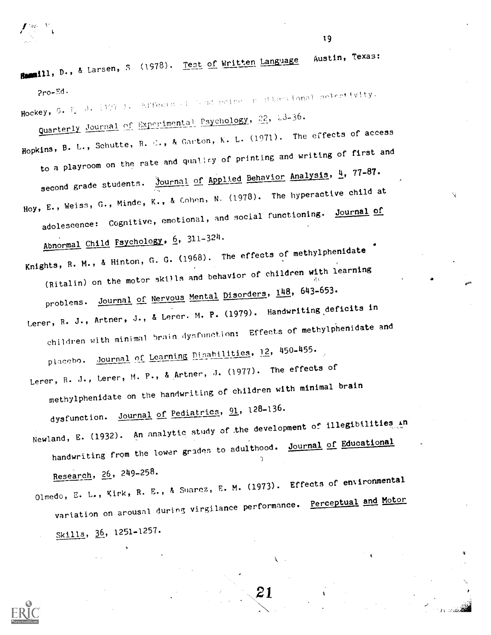Hammill, D., & Larsen, S. (1978). Test of Written Language Austin, Texas:

 $Pro-zu$ . Hockey, G. Participation ncise in diterrional delectivity. Quarterly Journal of Experimental Psychology, 22, 23-36.

- Hopkins, B. L., Schutte, R. C., & Garton, K. L. (1971). The effects of access to a playroom on the rate and qualiry of printing and writing of first and second grade students. Journal of Applied Behavior Analysis, 4, 77-87. Hoy, E., Weiss, G., Minde, K., & Cohen, N. (1978). The hyperactive child at adolescence: Cognitive, emotional, and social functioning. Journal of Abnormal Child Fsychology, 6, 311-324.
- Knights, R. M., & Hinton, G. G. (1968). The effects of methylphenidate (Ritalin) on the motor skills and behavior of children with learning problems. Journal of Nervous Mental Disorders, 148, 643-653.
- Lerer, R. J., Artner, J., & Lerer. M. P. (1979). Handwriting deficits in children with minimal brain dysfunction: Effects of methylphenidate and placebo. Journal of Learning Disabilities, 12, 450-455.
- Lerer, R. J., Lerer, M. P., & Artner, J. (1977). The effects of methylphenidate on the handwriting of children with minimal brain dysfunction. Journal of Pediatrics, 91, 128-136.
- Newland, E. (1932). An analytic study of the development of illegibilities in handwriting from the lower grades to adulthood. Journal of Educational Research, 26, 249-250.
- Olmedo, E. L., Kirk, R. E., & Suarez, E. M. (1973). Effects of environmental order variation on arousal during virgilance performance. Perceptual and Motor Skills, 36, 1251-1257.

21

L

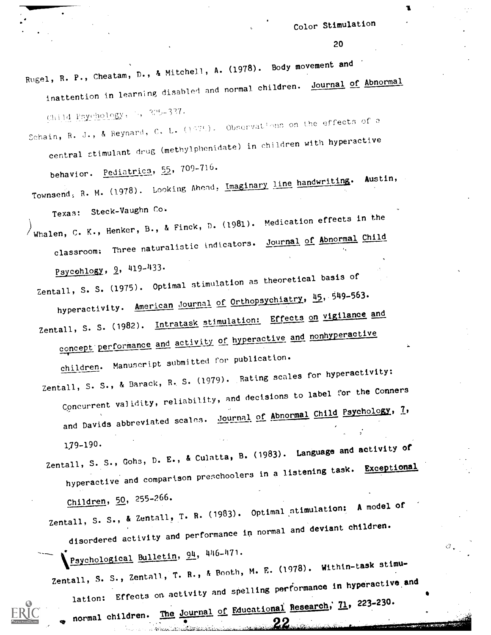Rugel, R. P., Cheatam, D., & Mitchell, A. (1978). Body movement and inattention in learning disabled and normal children. Journal of Abnormal

Child Psychology, 325-337.

Schain, R. J., & Reynard, C. L. (1975). Observ vations on the effects of a  $\sim$ central stimulant drug (methylpheni.date) in children with hyperactive behavior. Pediatrics, 55, 709-716.

Townsend, R. M. (1978). Looking Ahead, Imaginary line handwriting. Austin,

Texas: Steck-Vaughn Co, Whalen, C. K., Henker, B., & Finck, D. (1981). Medication effects in the classroom: Three naturalistic indicators. Journal of Abnormal Child Psyc<u>ohlogy</u>, <u>9</u>, 419-433.

Zentall, S. S. (1975). Optimal stimulation as theoretical basis of hyperactivity. American Journal of Orthopsychiatry, 45, 549-563. Zentall, S. S. (1982). Intratask stimulation: Effects on vigilance and

concept performance and activity of hyperactive and nonhyperactive children. Manuscript submitted for publication.

Zentall, S. S., & Barack, R, S. (1979). Rating scales for hyperactivity: Concurrent validity, reliability, and decisions to label for the Conners and Davids abbreviated scales. Journal of Abnormal Child Psychology, 7,

1,9-190.<br>Zentall, S. S., Gohs, D. E., & Culatta, B. (1983). Language and activity of hyperactive and comparison presence preschoolers in a listening task. Exceptional Children, 50, 255-266.

 $\frac{3}{2}$   $\frac{3}{2}$   $\frac{3}{2}$   $\frac{3}{2}$   $\frac{5}{2}$   $\frac{5}{2}$   $\frac{5}{2}$   $\frac{7}{2}$   $\frac{8}{2}$   $\frac{2}{2}$   $\frac{10}{2}$   $\frac{3}{2}$   $\frac{10}{2}$   $\frac{10}{2}$   $\frac{10}{2}$   $\frac{10}{2}$   $\frac{10}{2}$   $\frac{10}{2}$   $\frac{10}{2}$   $\frac{10}{2}$   $\frac{10}{2}$  disordered activity and performance in normal and deviant children.

Psychological Bulletin, 94, 446-471.

Zentall, S. S., Zentall, T. R., & Booth, M. E. (1978). Within-task stimulation: Effects on activity and spelling performance in hyperactive and

normal children. The Journal of Educational Research, 71, 223-230.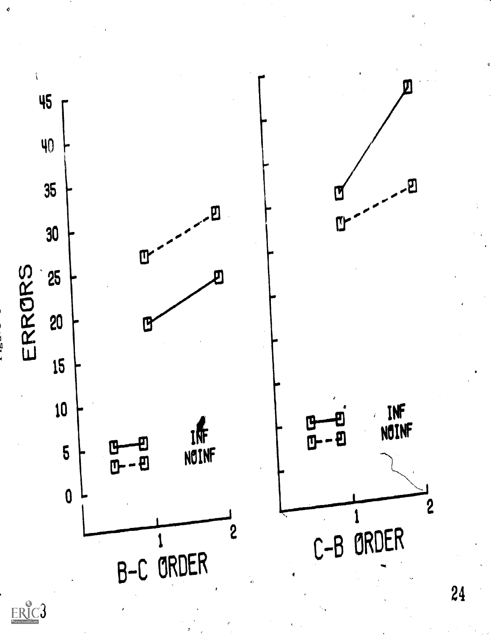

 $ERIC$ 

ø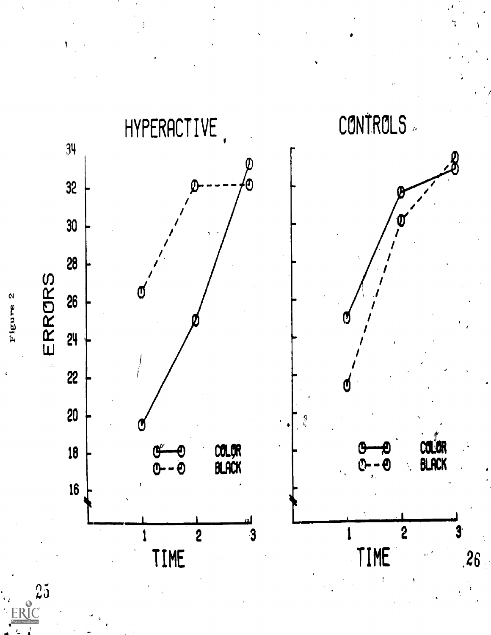

Figure 2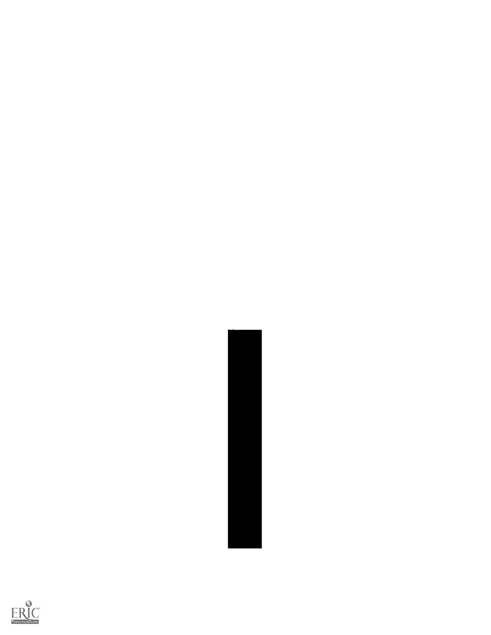